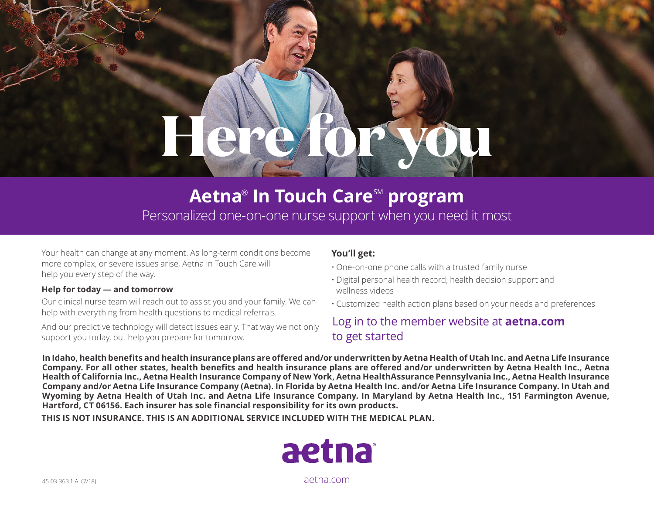# **Here for you**

# **Aetna® In Touch Care™ program**

Personalized one-on-one nurse support when you need it most

Your health can change at any moment. As long-term conditions become more complex, or severe issues arise, Aetna In Touch Care will help you every step of the way.

#### **Help for today — and tomorrow**

Our clinical nurse team will reach out to assist you and your family. We can help with everything from health questions to medical referrals.

And our predictive technology will detect issues early. That way we not only support you today, but help you prepare for tomorrow.

## **You'll get:**

- One-on-one phone calls with a trusted family nurse
- Digital personal health record, health decision support and wellness videos
- Customized health action plans based on your needs and preferences

# Log in to the member website at **[aetna.com](http://www.aetna.com)** to get started

**In Idaho, health benefits and health insurance plans are offered and/or underwritten by Aetna Health of Utah Inc. and Aetna Life Insurance Company. For all other states, health benefits and health insurance plans are offered and/or underwritten by Aetna Health Inc., Aetna Health of California Inc., Aetna Health Insurance Company of New York, Aetna HealthAssurance Pennsylvania Inc., Aetna Health Insurance Company and/or Aetna Life Insurance Company (Aetna). In Florida by Aetna Health Inc. and/or Aetna Life Insurance Company. In Utah and Wyoming by Aetna Health of Utah Inc. and Aetna Life Insurance Company. In Maryland by Aetna Health Inc., 151 Farmington Avenue, Hartford, CT 06156. Each insurer has sole financial responsibility for its own products.**

**THIS IS NOT INSURANCE. THIS IS AN ADDITIONAL SERVICE INCLUDED WITH THE MEDICAL PLAN.**



45.03.363.1 A (7/18) [aetna.com](http://www.aetna.com)